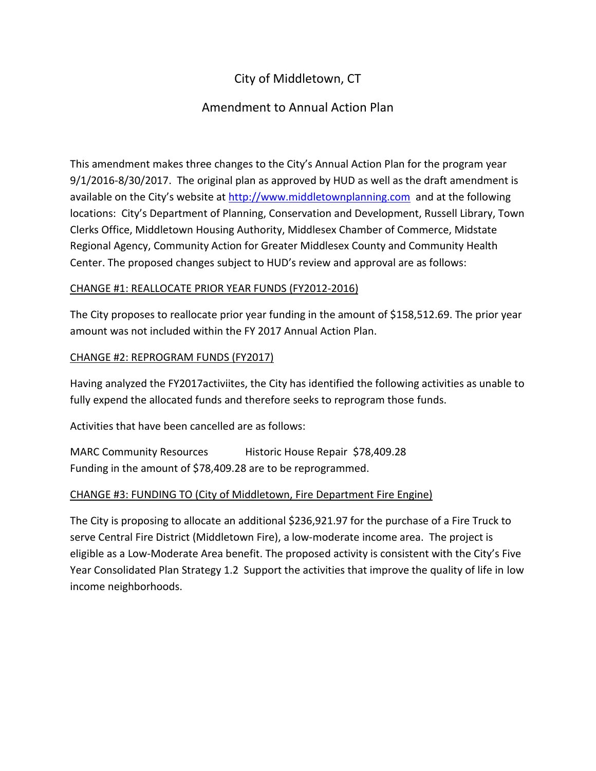# City of Middletown, CT

## Amendment to Annual Action Plan

This amendment makes three changes to the City's Annual Action Plan for the program year 9/1/2016-8/30/2017. The original plan as approved by HUD as well as the draft amendment is available on the City's website at [http://www.middletownplanning.com](http://www.middletownplanning.com/) and at the following locations: City's Department of Planning, Conservation and Development, Russell Library, Town Clerks Office, Middletown Housing Authority, Middlesex Chamber of Commerce, Midstate Regional Agency, Community Action for Greater Middlesex County and Community Health Center. The proposed changes subject to HUD's review and approval are as follows:

### CHANGE #1: REALLOCATE PRIOR YEAR FUNDS (FY2012-2016)

The City proposes to reallocate prior year funding in the amount of \$158,512.69. The prior year amount was not included within the FY 2017 Annual Action Plan.

#### CHANGE #2: REPROGRAM FUNDS (FY2017)

Having analyzed the FY2017activiites, the City has identified the following activities as unable to fully expend the allocated funds and therefore seeks to reprogram those funds.

Activities that have been cancelled are as follows:

MARC Community Resources Historic House Repair \$78,409.28 Funding in the amount of \$78,409.28 are to be reprogrammed.

### CHANGE #3: FUNDING TO (City of Middletown, Fire Department Fire Engine)

The City is proposing to allocate an additional \$236,921.97 for the purchase of a Fire Truck to serve Central Fire District (Middletown Fire), a low-moderate income area. The project is eligible as a Low-Moderate Area benefit. The proposed activity is consistent with the City's Five Year Consolidated Plan Strategy 1.2 Support the activities that improve the quality of life in low income neighborhoods.